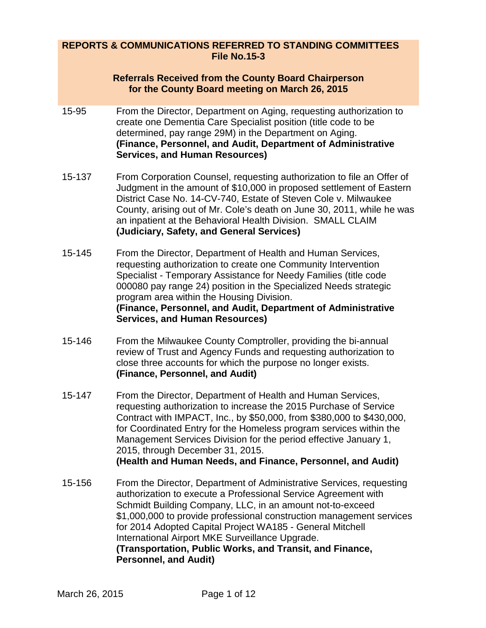# **REPORTS & COMMUNICATIONS REFERRED TO STANDING COMMITTEES File No.15-3**

### **Referrals Received from the County Board Chairperson for the County Board meeting on March 26, 2015**

- 15-95 From the Director, Department on Aging, requesting authorization to create one Dementia Care Specialist position (title code to be determined, pay range 29M) in the Department on Aging. **(Finance, Personnel, and Audit, Department of Administrative Services, and Human Resources)**
- 15-137 From Corporation Counsel, requesting authorization to file an Offer of Judgment in the amount of \$10,000 in proposed settlement of Eastern District Case No. 14-CV-740, Estate of Steven Cole v. Milwaukee County, arising out of Mr. Cole's death on June 30, 2011, while he was an inpatient at the Behavioral Health Division. SMALL CLAIM **(Judiciary, Safety, and General Services)**
- 15-145 From the Director, Department of Health and Human Services, requesting authorization to create one Community Intervention Specialist - Temporary Assistance for Needy Families (title code 000080 pay range 24) position in the Specialized Needs strategic program area within the Housing Division. **(Finance, Personnel, and Audit, Department of Administrative Services, and Human Resources)**
- 15-146 From the Milwaukee County Comptroller, providing the bi-annual review of Trust and Agency Funds and requesting authorization to close three accounts for which the purpose no longer exists. **(Finance, Personnel, and Audit)**
- 15-147 From the Director, Department of Health and Human Services, requesting authorization to increase the 2015 Purchase of Service Contract with IMPACT, Inc., by \$50,000, from \$380,000 to \$430,000, for Coordinated Entry for the Homeless program services within the Management Services Division for the period effective January 1, 2015, through December 31, 2015. **(Health and Human Needs, and Finance, Personnel, and Audit)**
- 15-156 From the Director, Department of Administrative Services, requesting authorization to execute a Professional Service Agreement with Schmidt Building Company, LLC, in an amount not-to-exceed \$1,000,000 to provide professional construction management services for 2014 Adopted Capital Project WA185 - General Mitchell International Airport MKE Surveillance Upgrade. **(Transportation, Public Works, and Transit, and Finance, Personnel, and Audit)**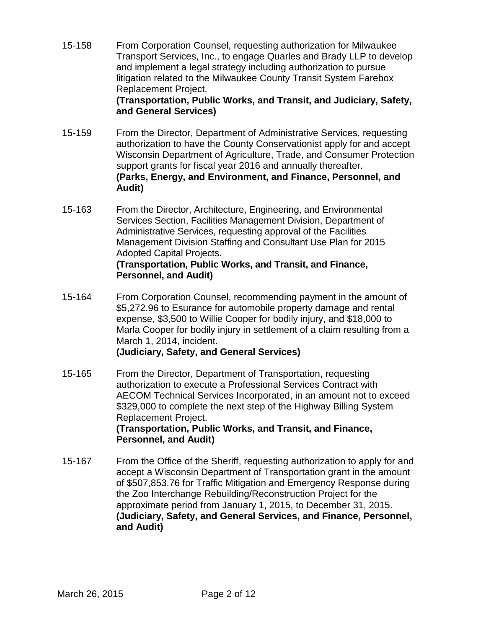15-158 From Corporation Counsel, requesting authorization for Milwaukee Transport Services, Inc., to engage Quarles and Brady LLP to develop and implement a legal strategy including authorization to pursue litigation related to the Milwaukee County Transit System Farebox Replacement Project.

#### **(Transportation, Public Works, and Transit, and Judiciary, Safety, and General Services)**

- 15-159 From the Director, Department of Administrative Services, requesting authorization to have the County Conservationist apply for and accept Wisconsin Department of Agriculture, Trade, and Consumer Protection support grants for fiscal year 2016 and annually thereafter. **(Parks, Energy, and Environment, and Finance, Personnel, and Audit)**
- 15-163 From the Director, Architecture, Engineering, and Environmental Services Section, Facilities Management Division, Department of Administrative Services, requesting approval of the Facilities Management Division Staffing and Consultant Use Plan for 2015 Adopted Capital Projects. **(Transportation, Public Works, and Transit, and Finance,**

# **Personnel, and Audit)**

- 15-164 From Corporation Counsel, recommending payment in the amount of \$5,272.96 to Esurance for automobile property damage and rental expense, \$3,500 to Willie Cooper for bodily injury, and \$18,000 to Marla Cooper for bodily injury in settlement of a claim resulting from a March 1, 2014, incident. **(Judiciary, Safety, and General Services)**
- 15-165 From the Director, Department of Transportation, requesting authorization to execute a Professional Services Contract with AECOM Technical Services Incorporated, in an amount not to exceed \$329,000 to complete the next step of the Highway Billing System Replacement Project. **(Transportation, Public Works, and Transit, and Finance, Personnel, and Audit)**
- 15-167 From the Office of the Sheriff, requesting authorization to apply for and accept a Wisconsin Department of Transportation grant in the amount of \$507,853.76 for Traffic Mitigation and Emergency Response during the Zoo Interchange Rebuilding/Reconstruction Project for the approximate period from January 1, 2015, to December 31, 2015. **(Judiciary, Safety, and General Services, and Finance, Personnel, and Audit)**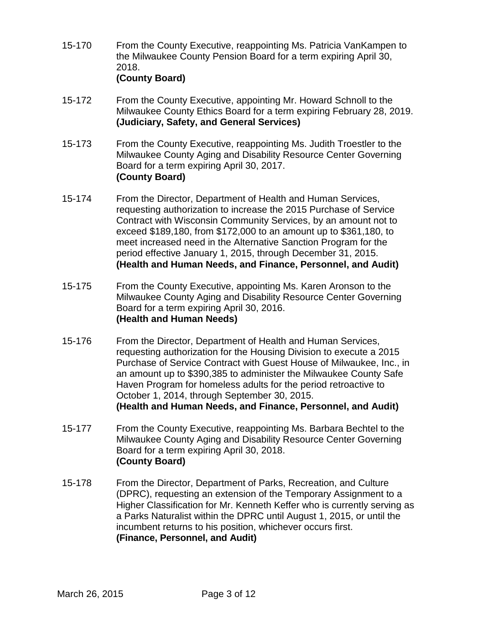- 15-170 From the County Executive, reappointing Ms. Patricia VanKampen to the Milwaukee County Pension Board for a term expiring April 30, 2018. **(County Board)**
- 15-172 From the County Executive, appointing Mr. Howard Schnoll to the Milwaukee County Ethics Board for a term expiring February 28, 2019. **(Judiciary, Safety, and General Services)**
- 15-173 From the County Executive, reappointing Ms. Judith Troestler to the Milwaukee County Aging and Disability Resource Center Governing Board for a term expiring April 30, 2017. **(County Board)**
- 15-174 From the Director, Department of Health and Human Services, requesting authorization to increase the 2015 Purchase of Service Contract with Wisconsin Community Services, by an amount not to exceed \$189,180, from \$172,000 to an amount up to \$361,180, to meet increased need in the Alternative Sanction Program for the period effective January 1, 2015, through December 31, 2015. **(Health and Human Needs, and Finance, Personnel, and Audit)**
- 15-175 From the County Executive, appointing Ms. Karen Aronson to the Milwaukee County Aging and Disability Resource Center Governing Board for a term expiring April 30, 2016. **(Health and Human Needs)**
- 15-176 From the Director, Department of Health and Human Services, requesting authorization for the Housing Division to execute a 2015 Purchase of Service Contract with Guest House of Milwaukee, Inc., in an amount up to \$390,385 to administer the Milwaukee County Safe Haven Program for homeless adults for the period retroactive to October 1, 2014, through September 30, 2015. **(Health and Human Needs, and Finance, Personnel, and Audit)**
- 15-177 From the County Executive, reappointing Ms. Barbara Bechtel to the Milwaukee County Aging and Disability Resource Center Governing Board for a term expiring April 30, 2018. **(County Board)**
- 15-178 From the Director, Department of Parks, Recreation, and Culture (DPRC), requesting an extension of the Temporary Assignment to a Higher Classification for Mr. Kenneth Keffer who is currently serving as a Parks Naturalist within the DPRC until August 1, 2015, or until the incumbent returns to his position, whichever occurs first. **(Finance, Personnel, and Audit)**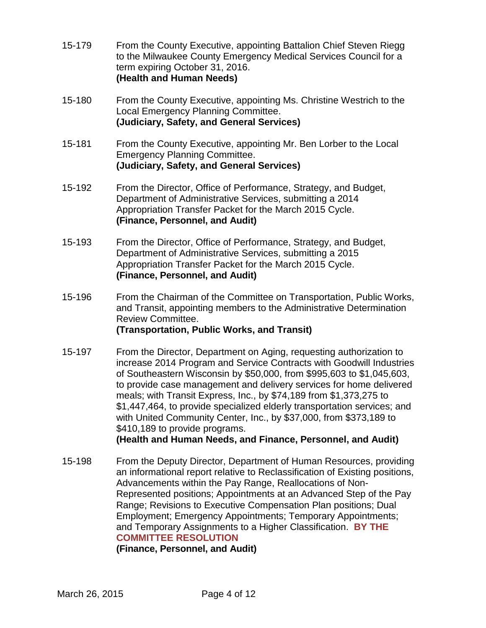- 15-179 From the County Executive, appointing Battalion Chief Steven Riegg to the Milwaukee County Emergency Medical Services Council for a term expiring October 31, 2016. **(Health and Human Needs)**
- 15-180 From the County Executive, appointing Ms. Christine Westrich to the Local Emergency Planning Committee. **(Judiciary, Safety, and General Services)**
- 15-181 From the County Executive, appointing Mr. Ben Lorber to the Local Emergency Planning Committee. **(Judiciary, Safety, and General Services)**
- 15-192 From the Director, Office of Performance, Strategy, and Budget, Department of Administrative Services, submitting a 2014 Appropriation Transfer Packet for the March 2015 Cycle. **(Finance, Personnel, and Audit)**
- 15-193 From the Director, Office of Performance, Strategy, and Budget, Department of Administrative Services, submitting a 2015 Appropriation Transfer Packet for the March 2015 Cycle. **(Finance, Personnel, and Audit)**
- 15-196 From the Chairman of the Committee on Transportation, Public Works, and Transit, appointing members to the Administrative Determination Review Committee. **(Transportation, Public Works, and Transit)**
- 15-197 From the Director, Department on Aging, requesting authorization to increase 2014 Program and Service Contracts with Goodwill Industries of Southeastern Wisconsin by \$50,000, from \$995,603 to \$1,045,603, to provide case management and delivery services for home delivered meals; with Transit Express, Inc., by \$74,189 from \$1,373,275 to \$1,447,464, to provide specialized elderly transportation services; and with United Community Center, Inc., by \$37,000, from \$373,189 to \$410,189 to provide programs. **(Health and Human Needs, and Finance, Personnel, and Audit)**

15-198 From the Deputy Director, Department of Human Resources, providing an informational report relative to Reclassification of Existing positions, Advancements within the Pay Range, Reallocations of Non-Represented positions; Appointments at an Advanced Step of the Pay Range; Revisions to Executive Compensation Plan positions; Dual Employment; Emergency Appointments; Temporary Appointments; and Temporary Assignments to a Higher Classification. **BY THE COMMITTEE RESOLUTION**

**(Finance, Personnel, and Audit)**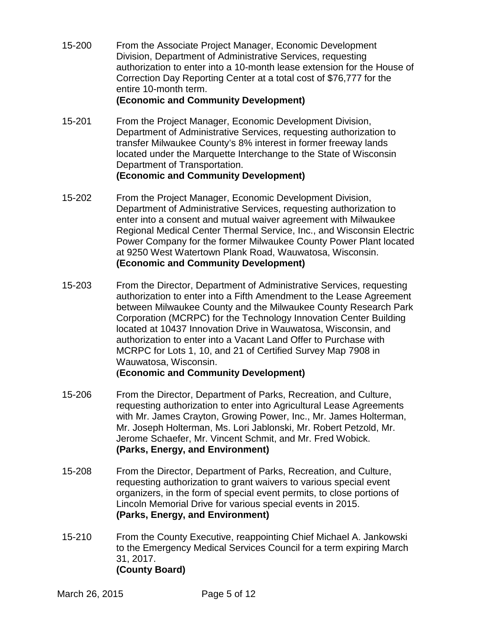15-200 From the Associate Project Manager, Economic Development Division, Department of Administrative Services, requesting authorization to enter into a 10-month lease extension for the House of Correction Day Reporting Center at a total cost of \$76,777 for the entire 10-month term.

### **(Economic and Community Development)**

- 15-201 From the Project Manager, Economic Development Division, Department of Administrative Services, requesting authorization to transfer Milwaukee County's 8% interest in former freeway lands located under the Marquette Interchange to the State of Wisconsin Department of Transportation. **(Economic and Community Development)**
- 15-202 From the Project Manager, Economic Development Division, Department of Administrative Services, requesting authorization to enter into a consent and mutual waiver agreement with Milwaukee Regional Medical Center Thermal Service, Inc., and Wisconsin Electric Power Company for the former Milwaukee County Power Plant located at 9250 West Watertown Plank Road, Wauwatosa, Wisconsin. **(Economic and Community Development)**
- 15-203 From the Director, Department of Administrative Services, requesting authorization to enter into a Fifth Amendment to the Lease Agreement between Milwaukee County and the Milwaukee County Research Park Corporation (MCRPC) for the Technology Innovation Center Building located at 10437 Innovation Drive in Wauwatosa, Wisconsin, and authorization to enter into a Vacant Land Offer to Purchase with MCRPC for Lots 1, 10, and 21 of Certified Survey Map 7908 in Wauwatosa, Wisconsin. **(Economic and Community Development)**
- 15-206 From the Director, Department of Parks, Recreation, and Culture, requesting authorization to enter into Agricultural Lease Agreements with Mr. James Crayton, Growing Power, Inc., Mr. James Holterman, Mr. Joseph Holterman, Ms. Lori Jablonski, Mr. Robert Petzold, Mr. Jerome Schaefer, Mr. Vincent Schmit, and Mr. Fred Wobick. **(Parks, Energy, and Environment)**
- 15-208 From the Director, Department of Parks, Recreation, and Culture, requesting authorization to grant waivers to various special event organizers, in the form of special event permits, to close portions of Lincoln Memorial Drive for various special events in 2015. **(Parks, Energy, and Environment)**
- 15-210 From the County Executive, reappointing Chief Michael A. Jankowski to the Emergency Medical Services Council for a term expiring March 31, 2017. **(County Board)**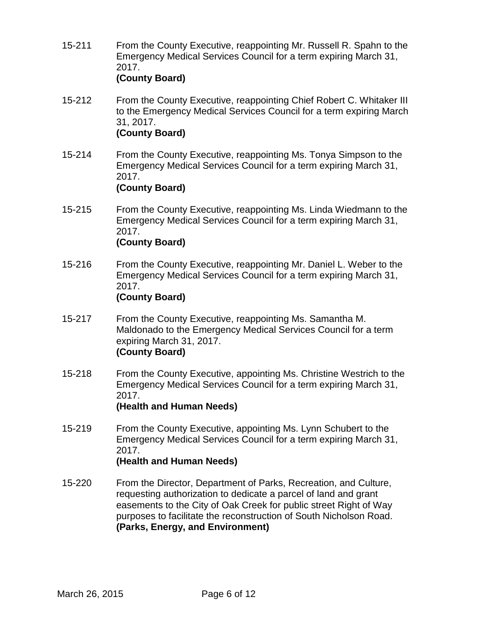- 15-211 From the County Executive, reappointing Mr. Russell R. Spahn to the Emergency Medical Services Council for a term expiring March 31, 2017. **(County Board)**
- 15-212 From the County Executive, reappointing Chief Robert C. Whitaker III to the Emergency Medical Services Council for a term expiring March 31, 2017. **(County Board)**
- 15-214 From the County Executive, reappointing Ms. Tonya Simpson to the Emergency Medical Services Council for a term expiring March 31, 2017. **(County Board)**
- 15-215 From the County Executive, reappointing Ms. Linda Wiedmann to the Emergency Medical Services Council for a term expiring March 31, 2017. **(County Board)**
- 15-216 From the County Executive, reappointing Mr. Daniel L. Weber to the Emergency Medical Services Council for a term expiring March 31, 2017. **(County Board)**
- 15-217 From the County Executive, reappointing Ms. Samantha M. Maldonado to the Emergency Medical Services Council for a term expiring March 31, 2017. **(County Board)**
- 15-218 From the County Executive, appointing Ms. Christine Westrich to the Emergency Medical Services Council for a term expiring March 31, 2017. **(Health and Human Needs)**
- 15-219 From the County Executive, appointing Ms. Lynn Schubert to the Emergency Medical Services Council for a term expiring March 31, 2017.

# **(Health and Human Needs)**

15-220 From the Director, Department of Parks, Recreation, and Culture, requesting authorization to dedicate a parcel of land and grant easements to the City of Oak Creek for public street Right of Way purposes to facilitate the reconstruction of South Nicholson Road. **(Parks, Energy, and Environment)**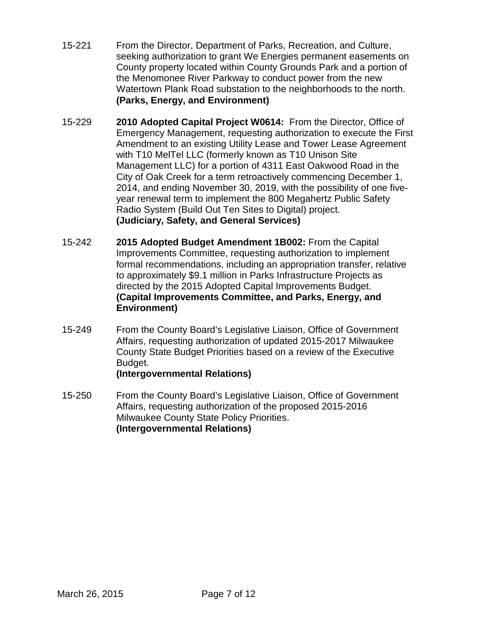- 15-221 From the Director, Department of Parks, Recreation, and Culture, seeking authorization to grant We Energies permanent easements on County property located within County Grounds Park and a portion of the Menomonee River Parkway to conduct power from the new Watertown Plank Road substation to the neighborhoods to the north. **(Parks, Energy, and Environment)**
- 15-229 **2010 Adopted Capital Project W0614:** From the Director, Office of Emergency Management, requesting authorization to execute the First Amendment to an existing Utility Lease and Tower Lease Agreement with T10 MelTel LLC (formerly known as T10 Unison Site Management LLC) for a portion of 4311 East Oakwood Road in the City of Oak Creek for a term retroactively commencing December 1, 2014, and ending November 30, 2019, with the possibility of one fiveyear renewal term to implement the 800 Megahertz Public Safety Radio System (Build Out Ten Sites to Digital) project. **(Judiciary, Safety, and General Services)**
- 15-242 **2015 Adopted Budget Amendment 1B002:** From the Capital Improvements Committee, requesting authorization to implement formal recommendations, including an appropriation transfer, relative to approximately \$9.1 million in Parks Infrastructure Projects as directed by the 2015 Adopted Capital Improvements Budget. **(Capital Improvements Committee, and Parks, Energy, and Environment)**
- 15-249 From the County Board's Legislative Liaison, Office of Government Affairs, requesting authorization of updated 2015-2017 Milwaukee County State Budget Priorities based on a review of the Executive Budget. **(Intergovernmental Relations)**
- 15-250 From the County Board's Legislative Liaison, Office of Government Affairs, requesting authorization of the proposed 2015-2016 Milwaukee County State Policy Priorities. **(Intergovernmental Relations)**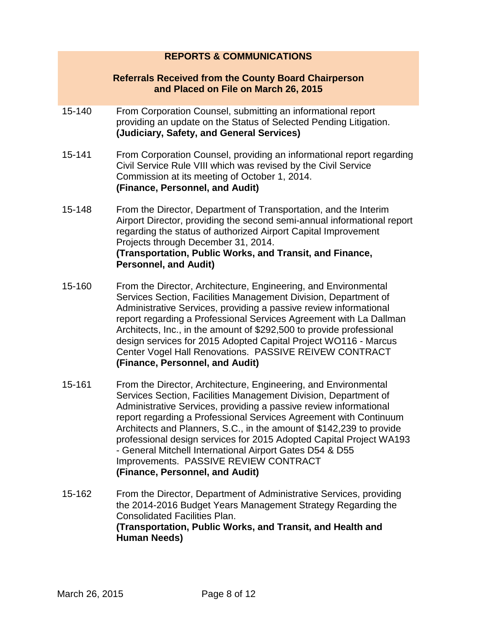# **REPORTS & COMMUNICATIONS**

## **Referrals Received from the County Board Chairperson and Placed on File on March 26, 2015**

- 15-140 From Corporation Counsel, submitting an informational report providing an update on the Status of Selected Pending Litigation. **(Judiciary, Safety, and General Services)**
- 15-141 From Corporation Counsel, providing an informational report regarding Civil Service Rule VIII which was revised by the Civil Service Commission at its meeting of October 1, 2014. **(Finance, Personnel, and Audit)**
- 15-148 From the Director, Department of Transportation, and the Interim Airport Director, providing the second semi-annual informational report regarding the status of authorized Airport Capital Improvement Projects through December 31, 2014. **(Transportation, Public Works, and Transit, and Finance, Personnel, and Audit)**
- 15-160 From the Director, Architecture, Engineering, and Environmental Services Section, Facilities Management Division, Department of Administrative Services, providing a passive review informational report regarding a Professional Services Agreement with La Dallman Architects, Inc., in the amount of \$292,500 to provide professional design services for 2015 Adopted Capital Project WO116 - Marcus Center Vogel Hall Renovations. PASSIVE REIVEW CONTRACT **(Finance, Personnel, and Audit)**
- 15-161 From the Director, Architecture, Engineering, and Environmental Services Section, Facilities Management Division, Department of Administrative Services, providing a passive review informational report regarding a Professional Services Agreement with Continuum Architects and Planners, S.C., in the amount of \$142,239 to provide professional design services for 2015 Adopted Capital Project WA193 - General Mitchell International Airport Gates D54 & D55 Improvements. PASSIVE REVIEW CONTRACT **(Finance, Personnel, and Audit)**
- 15-162 From the Director, Department of Administrative Services, providing the 2014-2016 Budget Years Management Strategy Regarding the Consolidated Facilities Plan. **(Transportation, Public Works, and Transit, and Health and Human Needs)**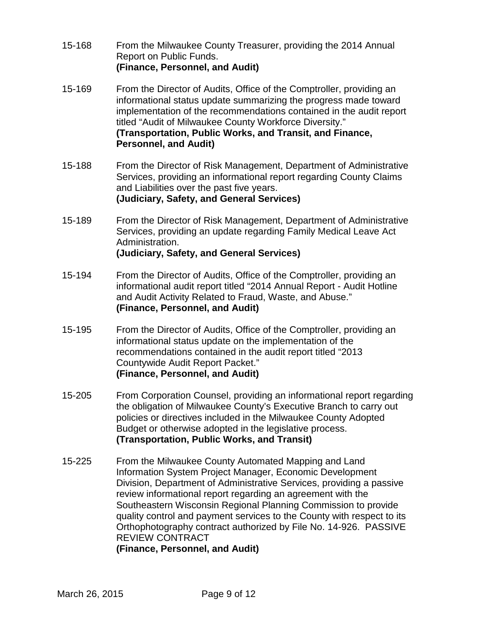- 15-168 From the Milwaukee County Treasurer, providing the 2014 Annual Report on Public Funds. **(Finance, Personnel, and Audit)**
- 15-169 From the Director of Audits, Office of the Comptroller, providing an informational status update summarizing the progress made toward implementation of the recommendations contained in the audit report titled "Audit of Milwaukee County Workforce Diversity." **(Transportation, Public Works, and Transit, and Finance, Personnel, and Audit)**
- 15-188 From the Director of Risk Management, Department of Administrative Services, providing an informational report regarding County Claims and Liabilities over the past five years. **(Judiciary, Safety, and General Services)**
- 15-189 From the Director of Risk Management, Department of Administrative Services, providing an update regarding Family Medical Leave Act Administration. **(Judiciary, Safety, and General Services)**
- 15-194 From the Director of Audits, Office of the Comptroller, providing an informational audit report titled "2014 Annual Report - Audit Hotline and Audit Activity Related to Fraud, Waste, and Abuse." **(Finance, Personnel, and Audit)**
- 15-195 From the Director of Audits, Office of the Comptroller, providing an informational status update on the implementation of the recommendations contained in the audit report titled "2013 Countywide Audit Report Packet." **(Finance, Personnel, and Audit)**
- 15-205 From Corporation Counsel, providing an informational report regarding the obligation of Milwaukee County's Executive Branch to carry out policies or directives included in the Milwaukee County Adopted Budget or otherwise adopted in the legislative process. **(Transportation, Public Works, and Transit)**
- 15-225 From the Milwaukee County Automated Mapping and Land Information System Project Manager, Economic Development Division, Department of Administrative Services, providing a passive review informational report regarding an agreement with the Southeastern Wisconsin Regional Planning Commission to provide quality control and payment services to the County with respect to its Orthophotography contract authorized by File No. 14-926. PASSIVE REVIEW CONTRACT

**(Finance, Personnel, and Audit)**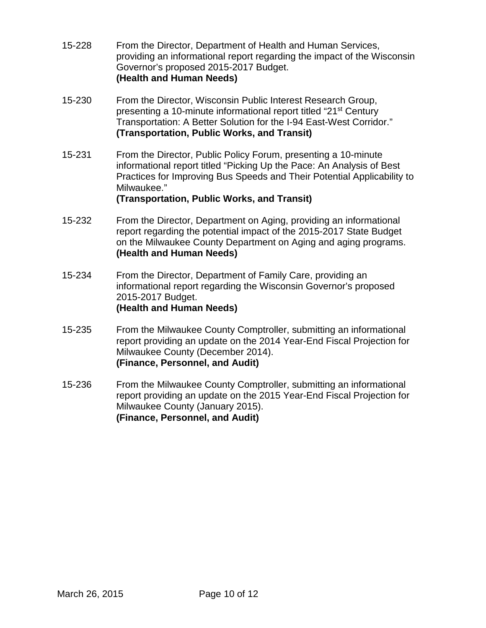- 15-228 From the Director, Department of Health and Human Services, providing an informational report regarding the impact of the Wisconsin Governor's proposed 2015-2017 Budget. **(Health and Human Needs)**
- 15-230 From the Director, Wisconsin Public Interest Research Group, presenting a 10-minute informational report titled "21<sup>st</sup> Century Transportation: A Better Solution for the I-94 East-West Corridor." **(Transportation, Public Works, and Transit)**
- 15-231 From the Director, Public Policy Forum, presenting a 10-minute informational report titled "Picking Up the Pace: An Analysis of Best Practices for Improving Bus Speeds and Their Potential Applicability to Milwaukee."

## **(Transportation, Public Works, and Transit)**

- 15-232 From the Director, Department on Aging, providing an informational report regarding the potential impact of the 2015-2017 State Budget on the Milwaukee County Department on Aging and aging programs. **(Health and Human Needs)**
- 15-234 From the Director, Department of Family Care, providing an informational report regarding the Wisconsin Governor's proposed 2015-2017 Budget. **(Health and Human Needs)**
- 15-235 From the Milwaukee County Comptroller, submitting an informational report providing an update on the 2014 Year-End Fiscal Projection for Milwaukee County (December 2014). **(Finance, Personnel, and Audit)**
- 15-236 From the Milwaukee County Comptroller, submitting an informational report providing an update on the 2015 Year-End Fiscal Projection for Milwaukee County (January 2015). **(Finance, Personnel, and Audit)**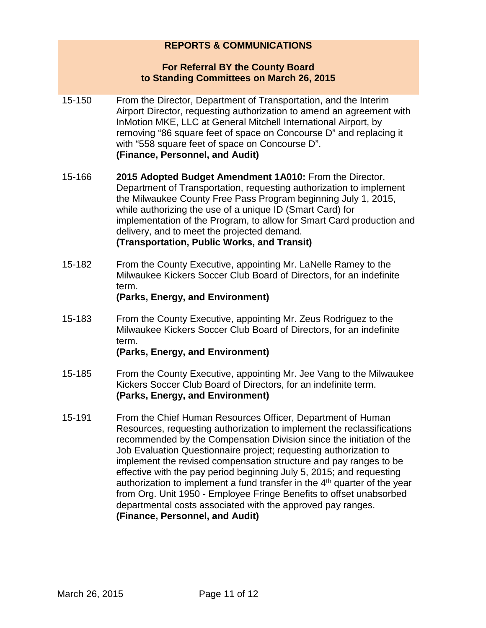# **REPORTS & COMMUNICATIONS**

### **For Referral BY the County Board to Standing Committees on March 26, 2015**

- 15-150 From the Director, Department of Transportation, and the Interim Airport Director, requesting authorization to amend an agreement with InMotion MKE, LLC at General Mitchell International Airport, by removing "86 square feet of space on Concourse D" and replacing it with "558 square feet of space on Concourse D". **(Finance, Personnel, and Audit)**
- 15-166 **2015 Adopted Budget Amendment 1A010:** From the Director, Department of Transportation, requesting authorization to implement the Milwaukee County Free Pass Program beginning July 1, 2015, while authorizing the use of a unique ID (Smart Card) for implementation of the Program, to allow for Smart Card production and delivery, and to meet the projected demand. **(Transportation, Public Works, and Transit)**
- 15-182 From the County Executive, appointing Mr. LaNelle Ramey to the Milwaukee Kickers Soccer Club Board of Directors, for an indefinite term. **(Parks, Energy, and Environment)**
- 15-183 From the County Executive, appointing Mr. Zeus Rodriguez to the Milwaukee Kickers Soccer Club Board of Directors, for an indefinite term.

#### **(Parks, Energy, and Environment)**

- 15-185 From the County Executive, appointing Mr. Jee Vang to the Milwaukee Kickers Soccer Club Board of Directors, for an indefinite term. **(Parks, Energy, and Environment)**
- 15-191 From the Chief Human Resources Officer, Department of Human Resources, requesting authorization to implement the reclassifications recommended by the Compensation Division since the initiation of the Job Evaluation Questionnaire project; requesting authorization to implement the revised compensation structure and pay ranges to be effective with the pay period beginning July 5, 2015; and requesting authorization to implement a fund transfer in the  $4<sup>th</sup>$  quarter of the year from Org. Unit 1950 - Employee Fringe Benefits to offset unabsorbed departmental costs associated with the approved pay ranges. **(Finance, Personnel, and Audit)**